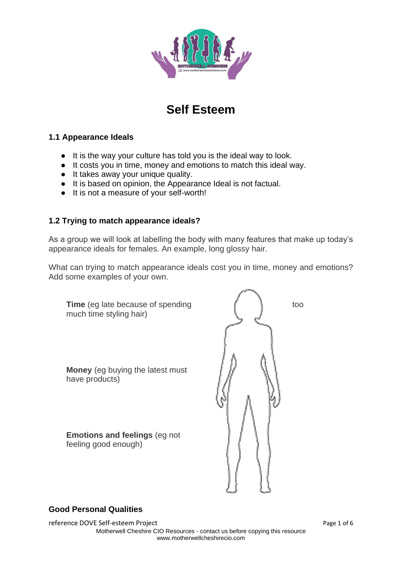

# **Self Esteem**

## **1.1 Appearance Ideals**

- It is the way your culture has told you is the ideal way to look.
- It costs you in time, money and emotions to match this ideal way.
- It takes away your unique quality.
- It is based on opinion, the Appearance Ideal is not factual.
- It is not a measure of your self-worth!

## **1.2 Trying to match appearance ideals?**

As a group we will look at labelling the body with many features that make up today's appearance ideals for females. An example, long glossy hair.

What can trying to match appearance ideals cost you in time, money and emotions? Add some examples of your own.

| <b>Time</b> (eg late because of spending<br>much time styling hair) | too |
|---------------------------------------------------------------------|-----|
| <b>Money</b> (eg buying the latest must<br>have products)           |     |
| <b>Emotions and feelings (eg not</b><br>feeling good enough)        |     |

## **Good Personal Qualities**

reference DOVE Self-esteem Project and the extension of 6 Page 1 of 6 Motherwell Cheshire CIO Resources - contact us before copying this resource www.motherwellcheshirecio.com

井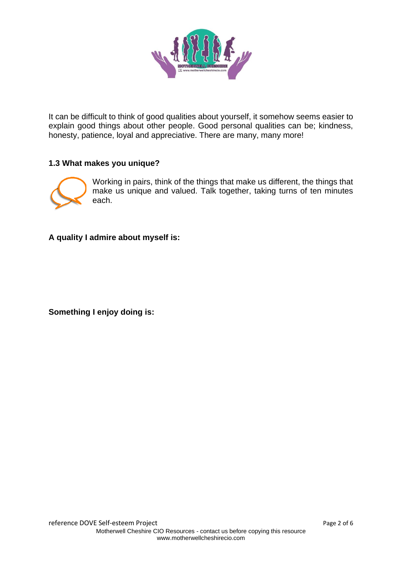

It can be difficult to think of good qualities about yourself, it somehow seems easier to explain good things about other people. Good personal qualities can be; kindness, honesty, patience, loyal and appreciative. There are many, many more!

## **1.3 What makes you unique?**



Working in pairs, think of the things that make us different, the things that make us unique and valued. Talk together, taking turns of ten minutes each.

**A quality I admire about myself is:**

**Something I enjoy doing is:**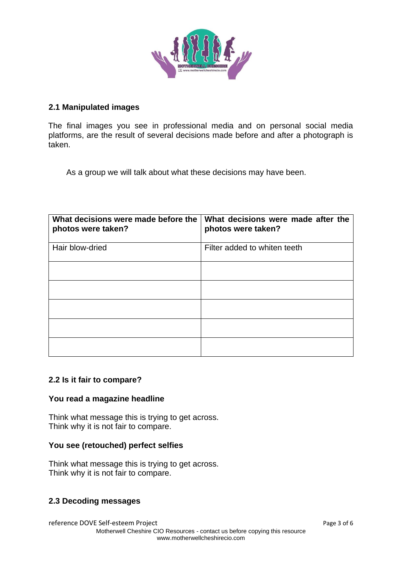

### **2.1 Manipulated images**

The final images you see in professional media and on personal social media platforms, are the result of several decisions made before and after a photograph is taken.

As a group we will talk about what these decisions may have been.

| What decisions were made before the<br>photos were taken? | What decisions were made after the<br>photos were taken? |
|-----------------------------------------------------------|----------------------------------------------------------|
| Hair blow-dried                                           | Filter added to whiten teeth                             |
|                                                           |                                                          |
|                                                           |                                                          |
|                                                           |                                                          |
|                                                           |                                                          |
|                                                           |                                                          |

#### **2.2 Is it fair to compare?**

#### **You read a magazine headline**

Think what message this is trying to get across. Think why it is not fair to compare.

#### **You see (retouched) perfect selfies**

Think what message this is trying to get across. Think why it is not fair to compare.

#### **2.3 Decoding messages**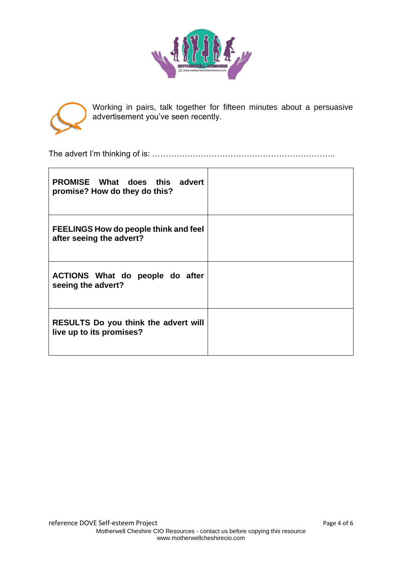



Working in pairs, talk together for fifteen minutes about a persuasive advertisement you've seen recently.

The advert I'm thinking of is: …………………………………………………………..

| <b>PROMISE</b> What does this advert<br>promise? How do they do this?    |  |
|--------------------------------------------------------------------------|--|
| <b>FEELINGS How do people think and feel</b><br>after seeing the advert? |  |
| ACTIONS What do people do after<br>seeing the advert?                    |  |
| <b>RESULTS Do you think the advert will</b><br>live up to its promises?  |  |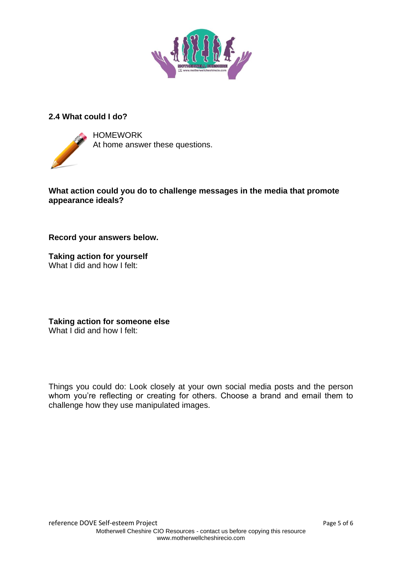

## **2.4 What could I do?**



HOMEWORK At home answer these questions.

**What action could you do to challenge messages in the media that promote appearance ideals?** 

**Record your answers below.**

**Taking action for yourself** What I did and how I felt:

**Taking action for someone else** What I did and how I felt:

Things you could do: Look closely at your own social media posts and the person whom you're reflecting or creating for others. Choose a brand and email them to challenge how they use manipulated images.